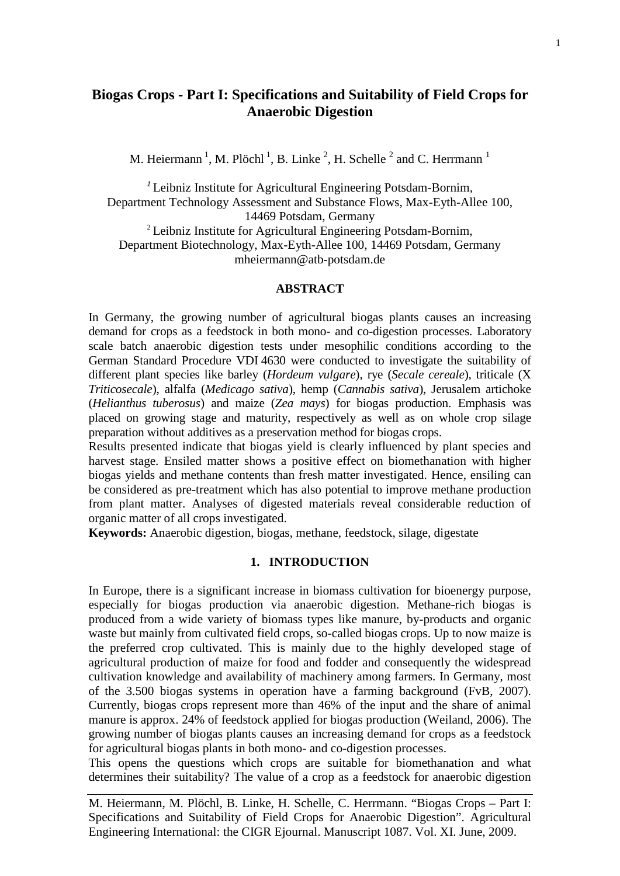# **Biogas Crops - Part I: Specifications and Suitability of Field Crops for Anaerobic Digestion**

M. Heiermann<sup>1</sup>, M. Plöchl<sup>1</sup>, B. Linke<sup>2</sup>, H. Schelle<sup>2</sup> and C. Herrmann<sup>1</sup>

*<sup>1</sup>* Leibniz Institute for Agricultural Engineering Potsdam-Bornim, Department Technology Assessment and Substance Flows, Max-Eyth-Allee 100, 14469 Potsdam, Germany <sup>2</sup> Leibniz Institute for Agricultural Engineering Potsdam-Bornim, Department Biotechnology, Max-Eyth-Allee 100, 14469 Potsdam, Germany mheiermann@atb-potsdam.de

#### **ABSTRACT**

In Germany, the growing number of agricultural biogas plants causes an increasing demand for crops as a feedstock in both mono- and co-digestion processes. Laboratory scale batch anaerobic digestion tests under mesophilic conditions according to the German Standard Procedure VDI 4630 were conducted to investigate the suitability of different plant species like barley (*Hordeum vulgare*), rye (*Secale cereale*), triticale (X *Triticosecale*), alfalfa (*Medicago sativa*), hemp (*Cannabis sativa*), Jerusalem artichoke (*Helianthus tuberosus*) and maize (*Zea mays*) for biogas production. Emphasis was placed on growing stage and maturity, respectively as well as on whole crop silage preparation without additives as a preservation method for biogas crops.

Results presented indicate that biogas yield is clearly influenced by plant species and harvest stage. Ensiled matter shows a positive effect on biomethanation with higher biogas yields and methane contents than fresh matter investigated. Hence, ensiling can be considered as pre-treatment which has also potential to improve methane production from plant matter. Analyses of digested materials reveal considerable reduction of organic matter of all crops investigated.

**Keywords:** Anaerobic digestion, biogas, methane, feedstock, silage, digestate

#### **1. INTRODUCTION**

In Europe, there is a significant increase in biomass cultivation for bioenergy purpose, especially for biogas production via anaerobic digestion. Methane-rich biogas is produced from a wide variety of biomass types like manure, by-products and organic waste but mainly from cultivated field crops, so-called biogas crops. Up to now maize is the preferred crop cultivated. This is mainly due to the highly developed stage of agricultural production of maize for food and fodder and consequently the widespread cultivation knowledge and availability of machinery among farmers. In Germany, most of the 3.500 biogas systems in operation have a farming background (FvB, 2007). Currently, biogas crops represent more than 46% of the input and the share of animal manure is approx. 24% of feedstock applied for biogas production (Weiland, 2006). The growing number of biogas plants causes an increasing demand for crops as a feedstock for agricultural biogas plants in both mono- and co-digestion processes.

This opens the questions which crops are suitable for biomethanation and what determines their suitability? The value of a crop as a feedstock for anaerobic digestion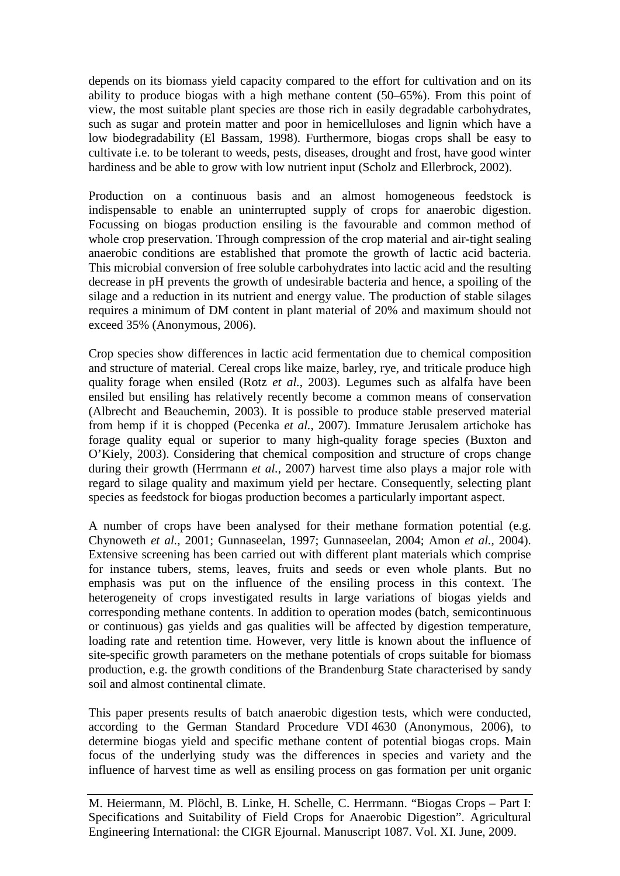depends on its biomass yield capacity compared to the effort for cultivation and on its ability to produce biogas with a high methane content (50–65%). From this point of view, the most suitable plant species are those rich in easily degradable carbohydrates, such as sugar and protein matter and poor in hemicelluloses and lignin which have a low biodegradability (El Bassam, 1998). Furthermore, biogas crops shall be easy to cultivate i.e. to be tolerant to weeds, pests, diseases, drought and frost, have good winter hardiness and be able to grow with low nutrient input (Scholz and Ellerbrock, 2002).

Production on a continuous basis and an almost homogeneous feedstock is indispensable to enable an uninterrupted supply of crops for anaerobic digestion. Focussing on biogas production ensiling is the favourable and common method of whole crop preservation. Through compression of the crop material and air-tight sealing anaerobic conditions are established that promote the growth of lactic acid bacteria. This microbial conversion of free soluble carbohydrates into lactic acid and the resulting decrease in pH prevents the growth of undesirable bacteria and hence, a spoiling of the silage and a reduction in its nutrient and energy value. The production of stable silages requires a minimum of DM content in plant material of 20% and maximum should not exceed 35% (Anonymous, 2006).

Crop species show differences in lactic acid fermentation due to chemical composition and structure of material. Cereal crops like maize, barley, rye, and triticale produce high quality forage when ensiled (Rotz *et al.*, 2003). Legumes such as alfalfa have been ensiled but ensiling has relatively recently become a common means of conservation (Albrecht and Beauchemin, 2003). It is possible to produce stable preserved material from hemp if it is chopped (Pecenka *et al.*, 2007). Immature Jerusalem artichoke has forage quality equal or superior to many high-quality forage species (Buxton and O'Kiely, 2003). Considering that chemical composition and structure of crops change during their growth (Herrmann *et al.*, 2007) harvest time also plays a major role with regard to silage quality and maximum yield per hectare. Consequently, selecting plant species as feedstock for biogas production becomes a particularly important aspect.

A number of crops have been analysed for their methane formation potential (e.g. Chynoweth *et al.*, 2001; Gunnaseelan, 1997; Gunnaseelan, 2004; Amon *et al.*, 2004). Extensive screening has been carried out with different plant materials which comprise for instance tubers, stems, leaves, fruits and seeds or even whole plants. But no emphasis was put on the influence of the ensiling process in this context. The heterogeneity of crops investigated results in large variations of biogas yields and corresponding methane contents. In addition to operation modes (batch, semicontinuous or continuous) gas yields and gas qualities will be affected by digestion temperature, loading rate and retention time. However, very little is known about the influence of site-specific growth parameters on the methane potentials of crops suitable for biomass production, e.g. the growth conditions of the Brandenburg State characterised by sandy soil and almost continental climate.

This paper presents results of batch anaerobic digestion tests, which were conducted, according to the German Standard Procedure VDI 4630 (Anonymous, 2006), to determine biogas yield and specific methane content of potential biogas crops. Main focus of the underlying study was the differences in species and variety and the influence of harvest time as well as ensiling process on gas formation per unit organic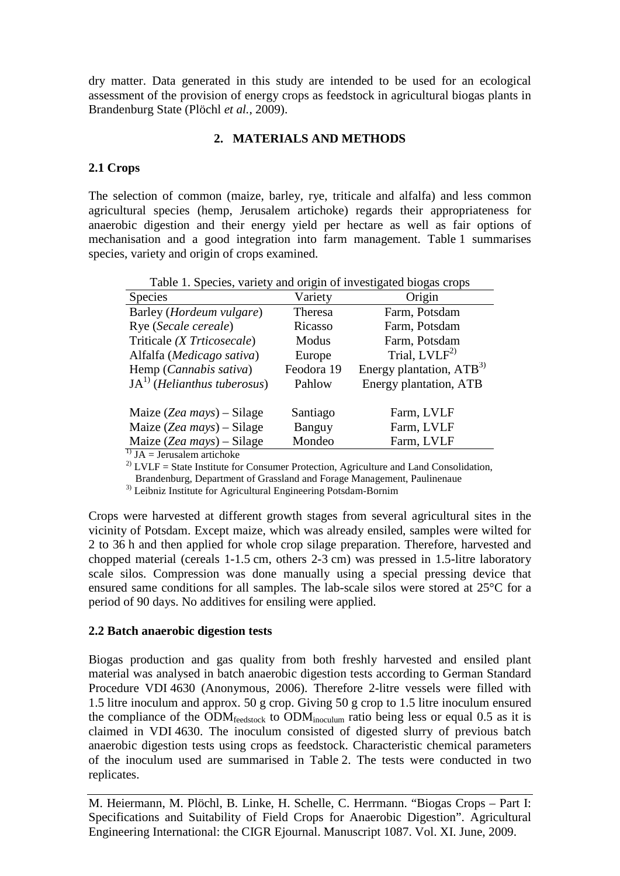dry matter. Data generated in this study are intended to be used for an ecological assessment of the provision of energy crops as feedstock in agricultural biogas plants in Brandenburg State (Plöchl *et al.*, 2009).

### **2. MATERIALS AND METHODS**

### **2.1 Crops**

The selection of common (maize, barley, rye, triticale and alfalfa) and less common agricultural species (hemp, Jerusalem artichoke) regards their appropriateness for anaerobic digestion and their energy yield per hectare as well as fair options of mechanisation and a good integration into farm management. Table 1 summarises species, variety and origin of crops examined.

| Table 1. Species, variety and origin of investigated biogas crops |            |                           |  |  |  |  |
|-------------------------------------------------------------------|------------|---------------------------|--|--|--|--|
| <b>Species</b>                                                    | Variety    | Origin                    |  |  |  |  |
| Barley ( <i>Hordeum vulgare</i> )                                 | Theresa    | Farm, Potsdam             |  |  |  |  |
| Rye (Secale cereale)                                              | Ricasso    | Farm, Potsdam             |  |  |  |  |
| Triticale (X Trticosecale)                                        | Modus      | Farm, Potsdam             |  |  |  |  |
| Alfalfa (Medicago sativa)                                         | Europe     | Trial, LVLF <sup>2)</sup> |  |  |  |  |
| Hemp (Cannabis sativa)                                            | Feodora 19 | Energy plantation, $ATB3$ |  |  |  |  |
| $JA1$ (Helianthus tuberosus)                                      | Pahlow     | Energy plantation, ATB    |  |  |  |  |
| Maize (Zea mays) – Silage                                         | Santiago   | Farm, LVLF                |  |  |  |  |
| Maize (Zea mays) – Silage                                         | Banguy     | Farm, LVLF                |  |  |  |  |
| Maize (Zea mays) – Silage                                         | Mondeo     | Farm, LVLF                |  |  |  |  |
| $\mathbf{I}$ TA Temperature and also leader                       |            |                           |  |  |  |  |

1) JA = Jerusalem artichoke

<sup>2)</sup> LVLF = State Institute for Consumer Protection, Agriculture and Land Consolidation,

Brandenburg, Department of Grassland and Forage Management, Paulinenaue

<sup>3)</sup> Leibniz Institute for Agricultural Engineering Potsdam-Bornim

Crops were harvested at different growth stages from several agricultural sites in the vicinity of Potsdam. Except maize, which was already ensiled, samples were wilted for 2 to 36 h and then applied for whole crop silage preparation. Therefore, harvested and chopped material (cereals 1-1.5 cm, others 2-3 cm) was pressed in 1.5-litre laboratory scale silos. Compression was done manually using a special pressing device that ensured same conditions for all samples. The lab-scale silos were stored at 25°C for a period of 90 days. No additives for ensiling were applied.

### **2.2 Batch anaerobic digestion tests**

Biogas production and gas quality from both freshly harvested and ensiled plant material was analysed in batch anaerobic digestion tests according to German Standard Procedure VDI 4630 (Anonymous, 2006). Therefore 2-litre vessels were filled with 1.5 litre inoculum and approx. 50 g crop. Giving 50 g crop to 1.5 litre inoculum ensured the compliance of the ODM<sub>feedstock</sub> to ODM<sub>inoculum</sub> ratio being less or equal 0.5 as it is claimed in VDI 4630. The inoculum consisted of digested slurry of previous batch anaerobic digestion tests using crops as feedstock. Characteristic chemical parameters of the inoculum used are summarised in Table 2. The tests were conducted in two replicates.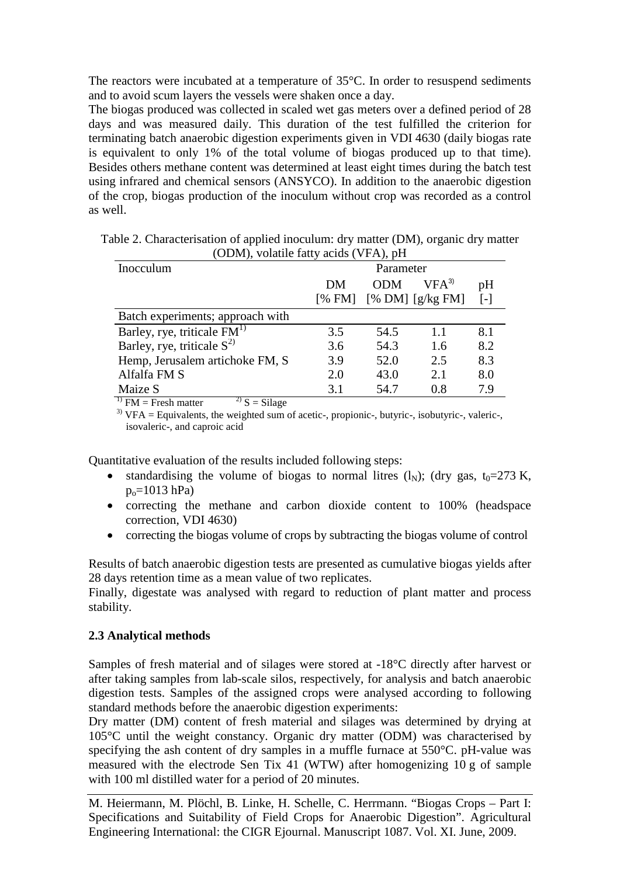The reactors were incubated at a temperature of 35°C. In order to resuspend sediments and to avoid scum layers the vessels were shaken once a day.

The biogas produced was collected in scaled wet gas meters over a defined period of 28 days and was measured daily. This duration of the test fulfilled the criterion for terminating batch anaerobic digestion experiments given in VDI 4630 (daily biogas rate is equivalent to only 1% of the total volume of biogas produced up to that time). Besides others methane content was determined at least eight times during the batch test using infrared and chemical sensors (ANSYCO). In addition to the anaerobic digestion of the crop, biogas production of the inoculum without crop was recorded as a control as well.

| $\sim$ DIM), volatile latty acids (VITI), pH |           |            |                      |                   |  |  |
|----------------------------------------------|-----------|------------|----------------------|-------------------|--|--|
| Inocculum                                    | Parameter |            |                      |                   |  |  |
|                                              | DM        | <b>ODM</b> | $VFA^{3}$            | pH                |  |  |
|                                              | [% FM]    |            | $[% DM]$ $[g/kg FM]$ | $\lceil - \rceil$ |  |  |
| Batch experiments; approach with             |           |            |                      |                   |  |  |
| Barley, rye, triticale $FM1$                 | 3.5       | 54.5       | 1.1                  | 8.1               |  |  |
| Barley, rye, triticale $S^{2}$               | 3.6       | 54.3       | 1.6                  | 8.2               |  |  |
| Hemp, Jerusalem artichoke FM, S              | 3.9       | 52.0       | 2.5                  | 8.3               |  |  |
| Alfalfa FM S                                 | 2.0       | 43.0       | 2.1                  | 8.0               |  |  |
| Maize S                                      | 3.1       | 54.7       | 0.8                  | 7.9               |  |  |

| Table 2. Characterisation of applied inoculum: dry matter (DM), organic dry matter |  |
|------------------------------------------------------------------------------------|--|
| (ODM), volatile fatty acids (VFA), pH                                              |  |

<sup>1)</sup> FM = Fresh matter  $2^{2}$  S = Silage

 $3)$  VFA = Equivalents, the weighted sum of acetic-, propionic-, butyric-, isobutyric-, valeric-, isovaleric-, and caproic acid

Quantitative evaluation of the results included following steps:

- standardising the volume of biogas to normal litres (l<sub>N</sub>); (dry gas, t<sub>0</sub>=273 K,  $p_0 = 1013$  hPa)
- correcting the methane and carbon dioxide content to 100% (headspace correction, VDI 4630)
- correcting the biogas volume of crops by subtracting the biogas volume of control

Results of batch anaerobic digestion tests are presented as cumulative biogas yields after 28 days retention time as a mean value of two replicates.

Finally, digestate was analysed with regard to reduction of plant matter and process stability.

# **2.3 Analytical methods**

Samples of fresh material and of silages were stored at -18°C directly after harvest or after taking samples from lab-scale silos, respectively, for analysis and batch anaerobic digestion tests. Samples of the assigned crops were analysed according to following standard methods before the anaerobic digestion experiments:

Dry matter (DM) content of fresh material and silages was determined by drying at 105°C until the weight constancy. Organic dry matter (ODM) was characterised by specifying the ash content of dry samples in a muffle furnace at 550°C. pH-value was measured with the electrode Sen Tix 41 (WTW) after homogenizing 10 g of sample with 100 ml distilled water for a period of 20 minutes.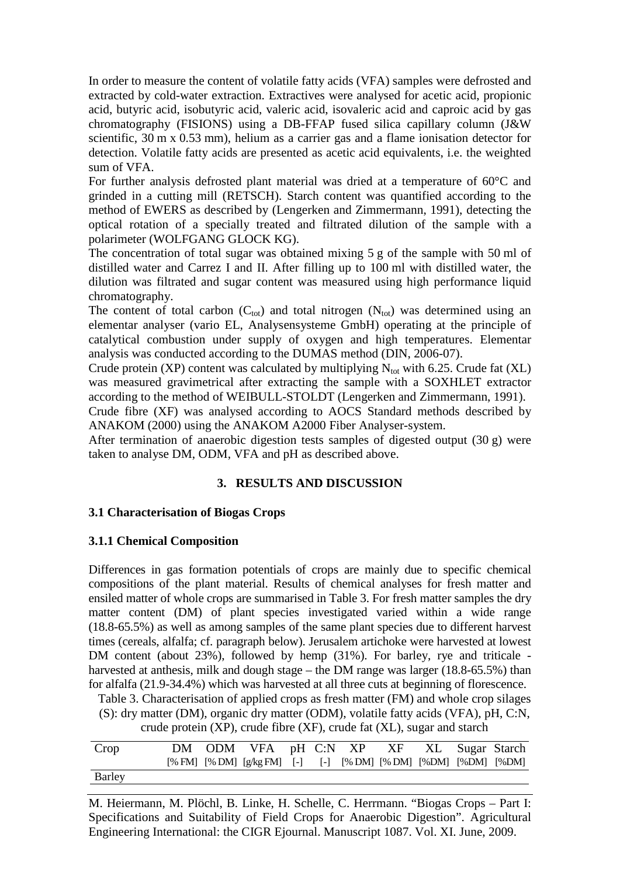In order to measure the content of volatile fatty acids (VFA) samples were defrosted and extracted by cold-water extraction. Extractives were analysed for acetic acid, propionic acid, butyric acid, isobutyric acid, valeric acid, isovaleric acid and caproic acid by gas chromatography (FISIONS) using a DB-FFAP fused silica capillary column (J&W scientific, 30 m x 0.53 mm), helium as a carrier gas and a flame ionisation detector for detection. Volatile fatty acids are presented as acetic acid equivalents, i.e. the weighted sum of VFA.

For further analysis defrosted plant material was dried at a temperature of 60°C and grinded in a cutting mill (RETSCH). Starch content was quantified according to the method of EWERS as described by (Lengerken and Zimmermann, 1991), detecting the optical rotation of a specially treated and filtrated dilution of the sample with a polarimeter (WOLFGANG GLOCK KG).

The concentration of total sugar was obtained mixing 5 g of the sample with 50 ml of distilled water and Carrez I and II. After filling up to 100 ml with distilled water, the dilution was filtrated and sugar content was measured using high performance liquid chromatography.

The content of total carbon  $(C_{tot})$  and total nitrogen  $(N_{tot})$  was determined using an elementar analyser (vario EL, Analysensysteme GmbH) operating at the principle of catalytical combustion under supply of oxygen and high temperatures. Elementar analysis was conducted according to the DUMAS method (DIN, 2006-07).

Crude protein (XP) content was calculated by multiplying  $N_{tot}$  with 6.25. Crude fat (XL) was measured gravimetrical after extracting the sample with a SOXHLET extractor according to the method of WEIBULL-STOLDT (Lengerken and Zimmermann, 1991).

Crude fibre (XF) was analysed according to AOCS Standard methods described by ANAKOM (2000) using the ANAKOM A2000 Fiber Analyser-system.

After termination of anaerobic digestion tests samples of digested output (30 g) were taken to analyse DM, ODM, VFA and pH as described above.

## **3. RESULTS AND DISCUSSION**

## **3.1 Characterisation of Biogas Crops**

### **3.1.1 Chemical Composition**

Differences in gas formation potentials of crops are mainly due to specific chemical compositions of the plant material. Results of chemical analyses for fresh matter and ensiled matter of whole crops are summarised in Table 3. For fresh matter samples the dry matter content (DM) of plant species investigated varied within a wide range (18.8-65.5%) as well as among samples of the same plant species due to different harvest times (cereals, alfalfa; cf. paragraph below). Jerusalem artichoke were harvested at lowest DM content (about 23%), followed by hemp (31%). For barley, rye and triticale harvested at anthesis, milk and dough stage – the DM range was larger (18.8-65.5%) than for alfalfa (21.9-34.4%) which was harvested at all three cuts at beginning of florescence.

Table 3. Characterisation of applied crops as fresh matter (FM) and whole crop silages (S): dry matter (DM), organic dry matter (ODM), volatile fatty acids (VFA), pH, C:N,

crude protein (XP), crude fibre (XF), crude fat (XL), sugar and starch

| Crop   |  | DM ODM VFA pH C:N XP XF XL Sugar Starch                         |  |  |  |  |
|--------|--|-----------------------------------------------------------------|--|--|--|--|
|        |  | [% FM] [% DM] [g/kg FM] [-] [-] [% DM] [% DM] [%DM] [%DM] [%DM] |  |  |  |  |
| Barley |  |                                                                 |  |  |  |  |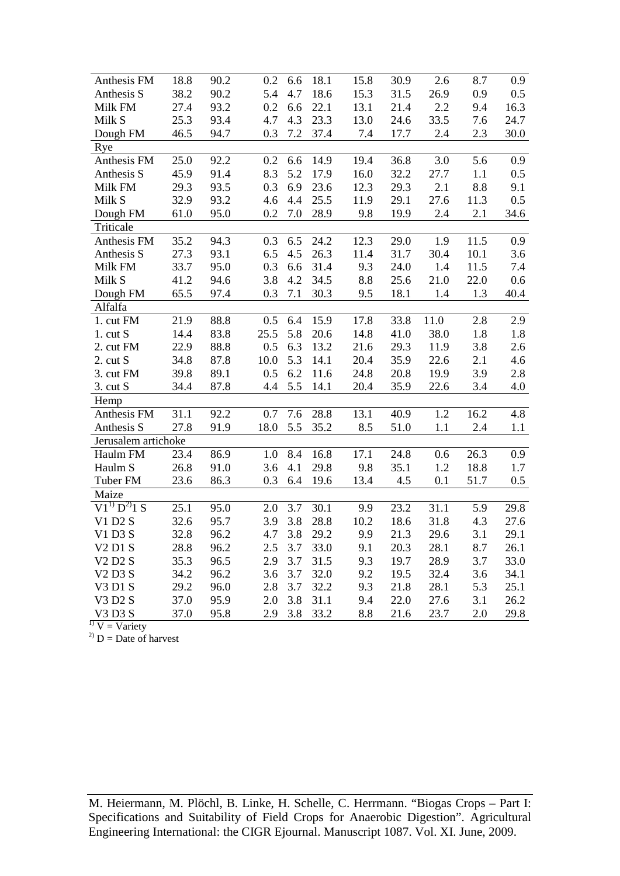| Anthesis FM                                 | 18.8 | 90.2 | 0.2  | 6.6 | 18.1 | 15.8 | 30.9 | 2.6  | 8.7  | 0.9  |
|---------------------------------------------|------|------|------|-----|------|------|------|------|------|------|
| Anthesis S                                  | 38.2 | 90.2 | 5.4  | 4.7 | 18.6 | 15.3 | 31.5 | 26.9 | 0.9  | 0.5  |
| Milk FM                                     | 27.4 | 93.2 | 0.2  | 6.6 | 22.1 | 13.1 | 21.4 | 2.2  | 9.4  | 16.3 |
| Milk S                                      | 25.3 | 93.4 | 4.7  | 4.3 | 23.3 | 13.0 | 24.6 | 33.5 | 7.6  | 24.7 |
| Dough FM                                    | 46.5 | 94.7 | 0.3  | 7.2 | 37.4 | 7.4  | 17.7 | 2.4  | 2.3  | 30.0 |
| Rye                                         |      |      |      |     |      |      |      |      |      |      |
| Anthesis FM                                 | 25.0 | 92.2 | 0.2  | 6.6 | 14.9 | 19.4 | 36.8 | 3.0  | 5.6  | 0.9  |
| Anthesis S                                  | 45.9 | 91.4 | 8.3  | 5.2 | 17.9 | 16.0 | 32.2 | 27.7 | 1.1  | 0.5  |
| Milk FM                                     | 29.3 | 93.5 | 0.3  | 6.9 | 23.6 | 12.3 | 29.3 | 2.1  | 8.8  | 9.1  |
| Milk S                                      | 32.9 | 93.2 | 4.6  | 4.4 | 25.5 | 11.9 | 29.1 | 27.6 | 11.3 | 0.5  |
| Dough FM                                    | 61.0 | 95.0 | 0.2  | 7.0 | 28.9 | 9.8  | 19.9 | 2.4  | 2.1  | 34.6 |
| Triticale                                   |      |      |      |     |      |      |      |      |      |      |
| Anthesis FM                                 | 35.2 | 94.3 | 0.3  | 6.5 | 24.2 | 12.3 | 29.0 | 1.9  | 11.5 | 0.9  |
| Anthesis S                                  | 27.3 | 93.1 | 6.5  | 4.5 | 26.3 | 11.4 | 31.7 | 30.4 | 10.1 | 3.6  |
| Milk FM                                     | 33.7 | 95.0 | 0.3  | 6.6 | 31.4 | 9.3  | 24.0 | 1.4  | 11.5 | 7.4  |
| Milk S                                      | 41.2 | 94.6 | 3.8  | 4.2 | 34.5 | 8.8  | 25.6 | 21.0 | 22.0 | 0.6  |
| Dough FM                                    | 65.5 | 97.4 | 0.3  | 7.1 | 30.3 | 9.5  | 18.1 | 1.4  | 1.3  | 40.4 |
| Alfalfa                                     |      |      |      |     |      |      |      |      |      |      |
| 1. cut FM                                   | 21.9 | 88.8 | 0.5  | 6.4 | 15.9 | 17.8 | 33.8 | 11.0 | 2.8  | 2.9  |
| $1.$ cut $S$                                | 14.4 | 83.8 | 25.5 | 5.8 | 20.6 | 14.8 | 41.0 | 38.0 | 1.8  | 1.8  |
| 2. cut FM                                   | 22.9 | 88.8 | 0.5  | 6.3 | 13.2 | 21.6 | 29.3 | 11.9 | 3.8  | 2.6  |
| $2.$ cut $S$                                | 34.8 | 87.8 | 10.0 | 5.3 | 14.1 | 20.4 | 35.9 | 22.6 | 2.1  | 4.6  |
| 3. cut FM                                   | 39.8 | 89.1 | 0.5  | 6.2 | 11.6 | 24.8 | 20.8 | 19.9 | 3.9  | 2.8  |
| $3.$ cut S                                  | 34.4 | 87.8 | 4.4  | 5.5 | 14.1 | 20.4 | 35.9 | 22.6 | 3.4  | 4.0  |
| Hemp                                        |      |      |      |     |      |      |      |      |      |      |
| Anthesis FM                                 | 31.1 | 92.2 | 0.7  | 7.6 | 28.8 | 13.1 | 40.9 | 1.2  | 16.2 | 4.8  |
| Anthesis S                                  | 27.8 | 91.9 | 18.0 | 5.5 | 35.2 | 8.5  | 51.0 | 1.1  | 2.4  | 1.1  |
| Jerusalem artichoke                         |      |      |      |     |      |      |      |      |      |      |
| Haulm FM                                    | 23.4 | 86.9 | 1.0  | 8.4 | 16.8 | 17.1 | 24.8 | 0.6  | 26.3 | 0.9  |
| Haulm S                                     | 26.8 | 91.0 | 3.6  | 4.1 | 29.8 | 9.8  | 35.1 | 1.2  | 18.8 | 1.7  |
| Tuber FM                                    | 23.6 | 86.3 | 0.3  | 6.4 | 19.6 | 13.4 | 4.5  | 0.1  | 51.7 | 0.5  |
| Maize                                       |      |      |      |     |      |      |      |      |      |      |
| $\overline{V1}^{1)}$ $D^{2}$ <sup>1</sup> S | 25.1 | 95.0 | 2.0  | 3.7 | 30.1 | 9.9  | 23.2 | 31.1 | 5.9  | 29.8 |
| V1 D2 S                                     | 32.6 | 95.7 | 3.9  | 3.8 | 28.8 | 10.2 | 18.6 | 31.8 | 4.3  | 27.6 |
| V1D3S                                       | 32.8 | 96.2 | 4.7  | 3.8 | 29.2 | 9.9  | 21.3 | 29.6 | 3.1  | 29.1 |
| $V2$ D1 S                                   | 28.8 | 96.2 | 2.5  | 3.7 | 33.0 | 9.1  | 20.3 | 28.1 | 8.7  | 26.1 |
| <b>V2 D2 S</b>                              | 35.3 | 96.5 | 2.9  | 3.7 | 31.5 | 9.3  | 19.7 | 28.9 | 3.7  | 33.0 |
| V <sub>2</sub> D <sub>3</sub> S             | 34.2 | 96.2 | 3.6  | 3.7 | 32.0 | 9.2  | 19.5 | 32.4 | 3.6  | 34.1 |
| V3 D1 S                                     | 29.2 | 96.0 | 2.8  | 3.7 | 32.2 | 9.3  | 21.8 | 28.1 | 5.3  | 25.1 |
| V3 D2 S                                     | 37.0 | 95.9 | 2.0  | 3.8 | 31.1 | 9.4  | 22.0 | 27.6 | 3.1  | 26.2 |
| V3 D3 S                                     | 37.0 | 95.8 | 2.9  | 3.8 | 33.2 | 8.8  | 21.6 | 23.7 | 2.0  | 29.8 |

 $1) V = \text{Variety}$ 

 $^{2)}$  D = Date of harvest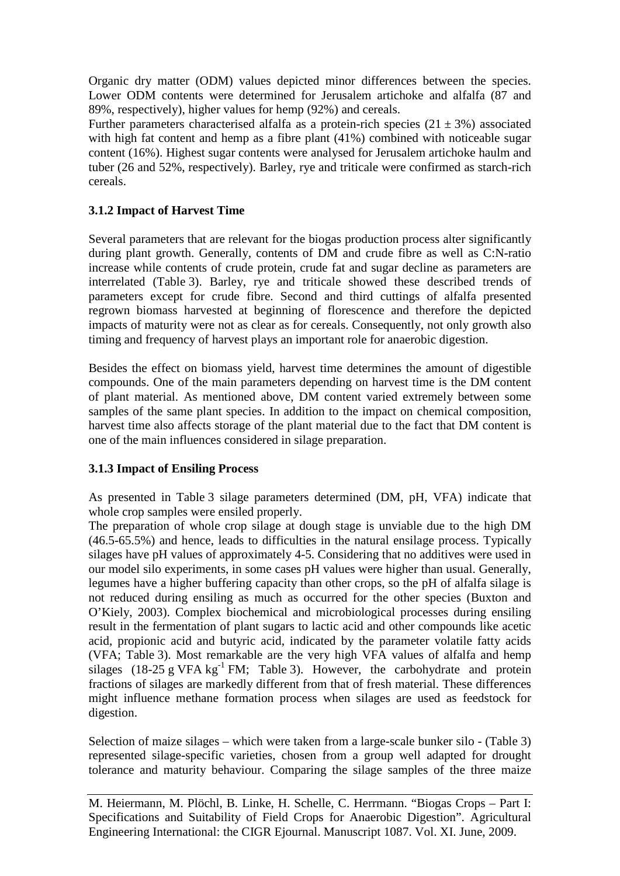Organic dry matter (ODM) values depicted minor differences between the species. Lower ODM contents were determined for Jerusalem artichoke and alfalfa (87 and 89%, respectively), higher values for hemp (92%) and cereals.

Further parameters characterised alfalfa as a protein-rich species  $(21 \pm 3\%)$  associated with high fat content and hemp as a fibre plant (41%) combined with noticeable sugar content (16%). Highest sugar contents were analysed for Jerusalem artichoke haulm and tuber (26 and 52%, respectively). Barley, rye and triticale were confirmed as starch-rich cereals.

# **3.1.2 Impact of Harvest Time**

Several parameters that are relevant for the biogas production process alter significantly during plant growth. Generally, contents of DM and crude fibre as well as C:N-ratio increase while contents of crude protein, crude fat and sugar decline as parameters are interrelated (Table 3). Barley, rye and triticale showed these described trends of parameters except for crude fibre. Second and third cuttings of alfalfa presented regrown biomass harvested at beginning of florescence and therefore the depicted impacts of maturity were not as clear as for cereals. Consequently, not only growth also timing and frequency of harvest plays an important role for anaerobic digestion.

Besides the effect on biomass yield, harvest time determines the amount of digestible compounds. One of the main parameters depending on harvest time is the DM content of plant material. As mentioned above, DM content varied extremely between some samples of the same plant species. In addition to the impact on chemical composition, harvest time also affects storage of the plant material due to the fact that DM content is one of the main influences considered in silage preparation.

## **3.1.3 Impact of Ensiling Process**

As presented in Table 3 silage parameters determined (DM, pH, VFA) indicate that whole crop samples were ensiled properly.

The preparation of whole crop silage at dough stage is unviable due to the high DM (46.5-65.5%) and hence, leads to difficulties in the natural ensilage process. Typically silages have pH values of approximately 4-5. Considering that no additives were used in our model silo experiments, in some cases pH values were higher than usual. Generally, legumes have a higher buffering capacity than other crops, so the pH of alfalfa silage is not reduced during ensiling as much as occurred for the other species (Buxton and O'Kiely, 2003). Complex biochemical and microbiological processes during ensiling result in the fermentation of plant sugars to lactic acid and other compounds like acetic acid, propionic acid and butyric acid, indicated by the parameter volatile fatty acids (VFA; Table 3). Most remarkable are the very high VFA values of alfalfa and hemp silages (18-25 g VFA  $kg^{-1}$  FM; Table 3). However, the carbohydrate and protein fractions of silages are markedly different from that of fresh material. These differences might influence methane formation process when silages are used as feedstock for digestion.

Selection of maize silages – which were taken from a large-scale bunker silo - (Table 3) represented silage-specific varieties, chosen from a group well adapted for drought tolerance and maturity behaviour. Comparing the silage samples of the three maize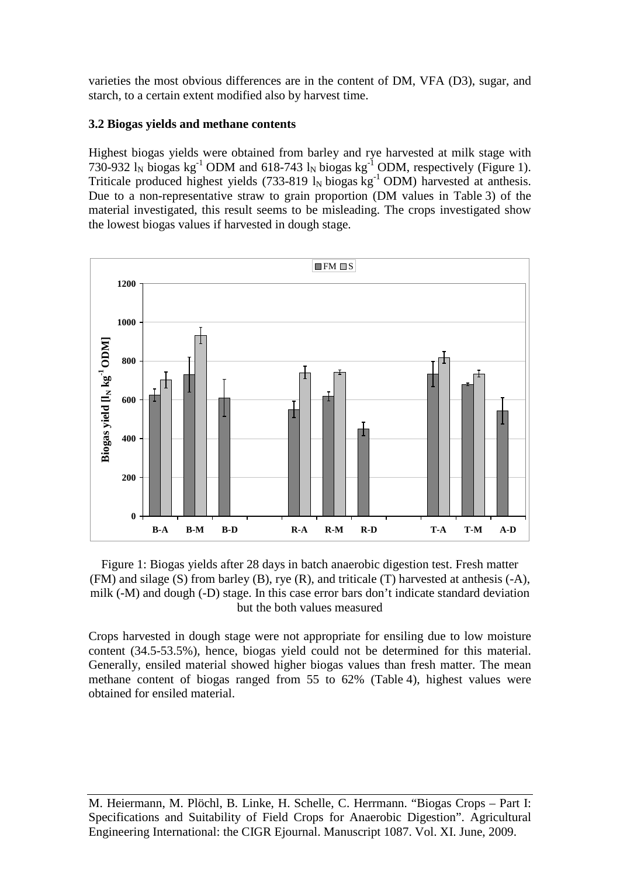varieties the most obvious differences are in the content of DM, VFA (D3), sugar, and starch, to a certain extent modified also by harvest time.

# **3.2 Biogas yields and methane contents**

Highest biogas yields were obtained from barley and rye harvested at milk stage with 730-932  $\text{I}_N$  biogas kg<sup>-1</sup> ODM and 618-743  $\text{I}_N$  biogas kg<sup>-1</sup> ODM, respectively (Figure 1). Triticale produced highest yields (733-819  $l_N$  biogas kg<sup>-1</sup> ODM) harvested at anthesis. Due to a non-representative straw to grain proportion (DM values in Table 3) of the material investigated, this result seems to be misleading. The crops investigated show the lowest biogas values if harvested in dough stage.



Figure 1: Biogas yields after 28 days in batch anaerobic digestion test. Fresh matter (FM) and silage (S) from barley (B), rye (R), and triticale (T) harvested at anthesis (-A), milk (-M) and dough (-D) stage. In this case error bars don't indicate standard deviation but the both values measured

Crops harvested in dough stage were not appropriate for ensiling due to low moisture content (34.5-53.5%), hence, biogas yield could not be determined for this material. Generally, ensiled material showed higher biogas values than fresh matter. The mean methane content of biogas ranged from 55 to 62% (Table 4), highest values were obtained for ensiled material.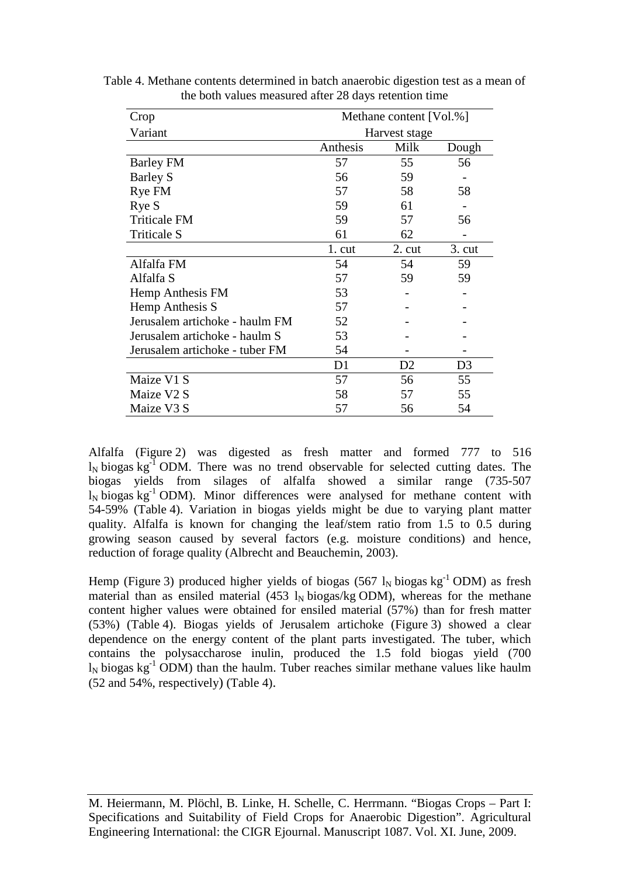| Crop                           | Methane content [Vol.%] |                 |                 |  |  |
|--------------------------------|-------------------------|-----------------|-----------------|--|--|
| Variant                        | Harvest stage           |                 |                 |  |  |
|                                | Anthesis                | Milk            | Dough           |  |  |
| Barley FM                      | 57                      | 55              | 56              |  |  |
| <b>Barley S</b>                | 56                      | 59              |                 |  |  |
| Rye FM                         | 57                      | 58              | 58              |  |  |
| Rye S                          | 59                      | 61              |                 |  |  |
| <b>Triticale FM</b>            | 59                      | 57              | 56              |  |  |
| Triticale S                    | 61                      | 62              |                 |  |  |
|                                | 1. cut                  | $2. \text{cut}$ | $3. \text{cut}$ |  |  |
| Alfalfa FM                     | 54                      | 54              | 59              |  |  |
| Alfalfa S                      | 57                      | 59              | 59              |  |  |
| Hemp Anthesis FM               | 53                      |                 |                 |  |  |
| Hemp Anthesis S                | 57                      |                 |                 |  |  |
| Jerusalem artichoke - haulm FM | 52                      |                 |                 |  |  |
| Jerusalem artichoke - haulm S  | 53                      |                 |                 |  |  |
| Jerusalem artichoke - tuber FM | 54                      |                 |                 |  |  |
|                                | D1                      | D <sub>2</sub>  | D <sub>3</sub>  |  |  |
| Maize V1 S                     | 57                      | 56              | 55              |  |  |
| Maize V2 S                     | 58                      | 57              | 55              |  |  |
| Maize V3 S                     | 57                      | 56              | 54              |  |  |

Table 4. Methane contents determined in batch anaerobic digestion test as a mean of the both values measured after 28 days retention time

Alfalfa (Figure 2) was digested as fresh matter and formed 777 to 516  $l_N$  biogas kg<sup>-1</sup> ODM. There was no trend observable for selected cutting dates. The biogas yields from silages of alfalfa showed a similar range (735-507  $\ln$  biogas kg<sup>-1</sup> ODM). Minor differences were analysed for methane content with 54-59% (Table 4). Variation in biogas yields might be due to varying plant matter quality. Alfalfa is known for changing the leaf/stem ratio from 1.5 to 0.5 during growing season caused by several factors (e.g. moisture conditions) and hence, reduction of forage quality (Albrecht and Beauchemin, 2003).

Hemp (Figure 3) produced higher yields of biogas (567  $l_N$  biogas kg<sup>-1</sup> ODM) as fresh material than as ensiled material (453  $\rm l_N$  biogas/kg ODM), whereas for the methane content higher values were obtained for ensiled material (57%) than for fresh matter (53%) (Table 4). Biogas yields of Jerusalem artichoke (Figure 3) showed a clear dependence on the energy content of the plant parts investigated. The tuber, which contains the polysaccharose inulin, produced the 1.5 fold biogas yield (700  $l_N$  biogas kg<sup>-1</sup> ODM) than the haulm. Tuber reaches similar methane values like haulm (52 and 54%, respectively) (Table 4).

M. Heiermann, M. Plöchl, B. Linke, H. Schelle, C. Herrmann. "Biogas Crops – Part I: Specifications and Suitability of Field Crops for Anaerobic Digestion". Agricultural Engineering International: the CIGR Ejournal. Manuscript 1087. Vol. XI. June, 2009.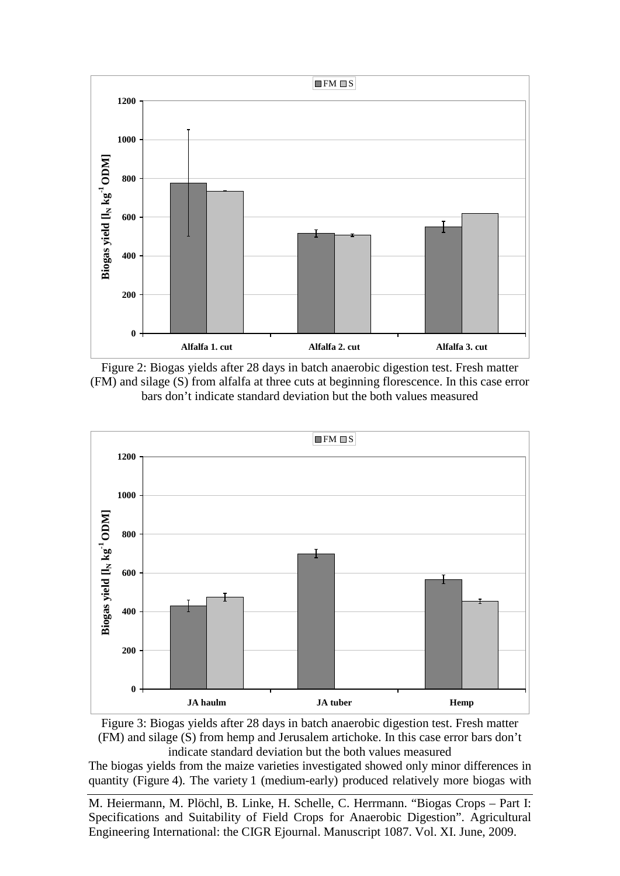

Figure 2: Biogas yields after 28 days in batch anaerobic digestion test. Fresh matter (FM) and silage (S) from alfalfa at three cuts at beginning florescence. In this case error bars don't indicate standard deviation but the both values measured



Figure 3: Biogas yields after 28 days in batch anaerobic digestion test. Fresh matter (FM) and silage (S) from hemp and Jerusalem artichoke. In this case error bars don't indicate standard deviation but the both values measured

The biogas yields from the maize varieties investigated showed only minor differences in quantity (Figure 4). The variety 1 (medium-early) produced relatively more biogas with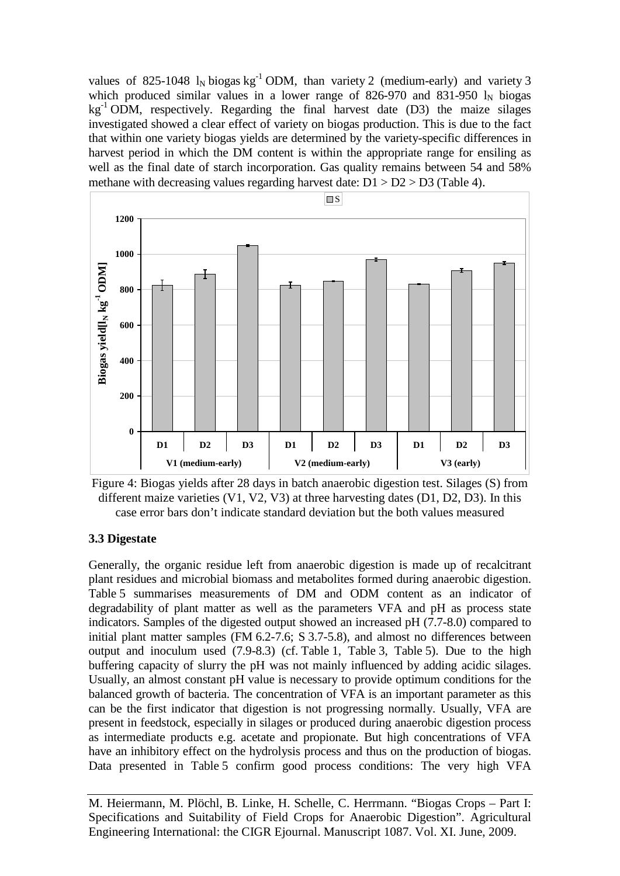values of 825-1048  $l_N$  biogas kg<sup>-1</sup> ODM, than variety 2 (medium-early) and variety 3 which produced similar values in a lower range of 826-970 and 831-950  $l_N$  biogas  $kg^{-1}$  ODM, respectively. Regarding the final harvest date (D3) the maize silages investigated showed a clear effect of variety on biogas production. This is due to the fact that within one variety biogas yields are determined by the variety-specific differences in harvest period in which the DM content is within the appropriate range for ensiling as well as the final date of starch incorporation. Gas quality remains between 54 and 58% methane with decreasing values regarding harvest date:  $D1 > D2 > D3$  (Table 4).





## **3.3 Digestate**

Generally, the organic residue left from anaerobic digestion is made up of recalcitrant plant residues and microbial biomass and metabolites formed during anaerobic digestion. Table 5 summarises measurements of DM and ODM content as an indicator of degradability of plant matter as well as the parameters VFA and pH as process state indicators. Samples of the digested output showed an increased pH (7.7-8.0) compared to initial plant matter samples (FM 6.2-7.6; S 3.7-5.8), and almost no differences between output and inoculum used (7.9-8.3) (cf. Table 1, Table 3, Table 5). Due to the high buffering capacity of slurry the pH was not mainly influenced by adding acidic silages. Usually, an almost constant pH value is necessary to provide optimum conditions for the balanced growth of bacteria. The concentration of VFA is an important parameter as this can be the first indicator that digestion is not progressing normally. Usually, VFA are present in feedstock, especially in silages or produced during anaerobic digestion process as intermediate products e.g. acetate and propionate. But high concentrations of VFA have an inhibitory effect on the hydrolysis process and thus on the production of biogas. Data presented in Table 5 confirm good process conditions: The very high VFA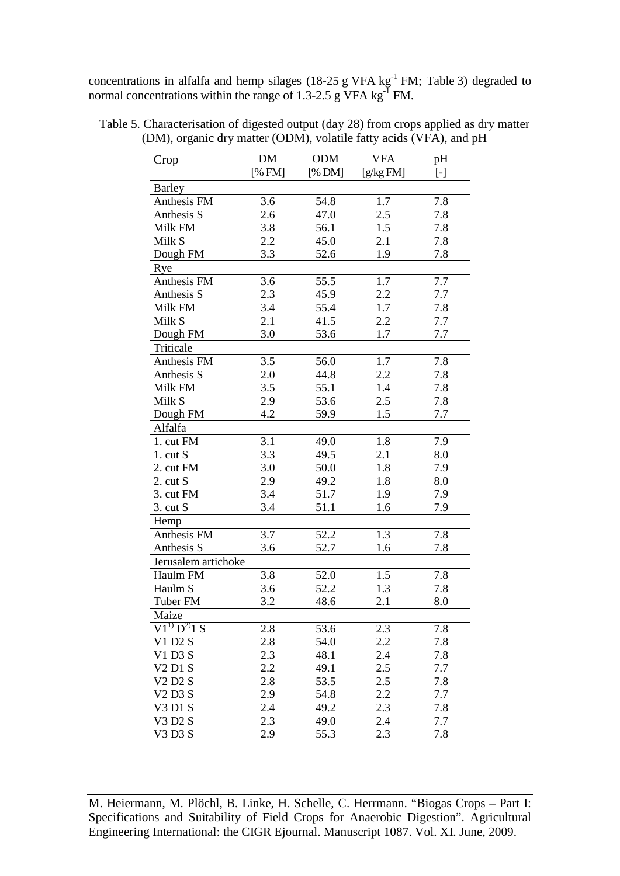concentrations in alfalfa and hemp silages (18-25 g VFA  $kg^{-1}$  FM; Table 3) degraded to normal concentrations within the range of 1.3-2.5 g VFA  $\text{kg}^{\text{-}I}$  FM.

| Crop                            | DM     | <b>ODM</b> | <b>VFA</b> | pH        |
|---------------------------------|--------|------------|------------|-----------|
|                                 | [% FM] | [% DM]     | [g/kgFM]   | $[\cdot]$ |
| <b>Barley</b>                   |        |            |            |           |
| Anthesis FM                     | 3.6    | 54.8       | 1.7        | 7.8       |
| Anthesis S                      | 2.6    | 47.0       | 2.5        | 7.8       |
| Milk FM                         | 3.8    | 56.1       | 1.5        | 7.8       |
| Milk S                          | 2.2    | 45.0       | 2.1        | 7.8       |
| Dough FM                        | 3.3    | 52.6       | 1.9        | 7.8       |
| Rye                             |        |            |            |           |
| Anthesis FM                     | 3.6    | 55.5       | 1.7        | 7.7       |
| Anthesis S                      | 2.3    | 45.9       | 2.2        | 7.7       |
| Milk FM                         | 3.4    | 55.4       | 1.7        | 7.8       |
| Milk S                          | 2.1    | 41.5       | 2.2        | 7.7       |
| Dough FM                        | 3.0    | 53.6       | 1.7        | 7.7       |
| Triticale                       |        |            |            |           |
| Anthesis FM                     | 3.5    | 56.0       | 1.7        | 7.8       |
| Anthesis S                      | 2.0    | 44.8       | 2.2        | 7.8       |
| Milk FM                         | 3.5    | 55.1       | 1.4        | 7.8       |
| Milk S                          | 2.9    | 53.6       | 2.5        | 7.8       |
| Dough FM                        | 4.2    | 59.9       | 1.5        | 7.7       |
| Alfalfa                         |        |            |            |           |
| 1. cut FM                       | 3.1    | 49.0       | 1.8        | 7.9       |
| $1.$ cut $S$                    | 3.3    | 49.5       | 2.1        | 8.0       |
| 2. cut FM                       | 3.0    | 50.0       | 1.8        | 7.9       |
| $2.$ cut $S$                    | 2.9    | 49.2       | 1.8        | 8.0       |
| 3. cut FM                       | 3.4    | 51.7       | 1.9        | 7.9       |
| $3.$ cut S                      | 3.4    | 51.1       | 1.6        | 7.9       |
| Hemp                            |        |            |            |           |
| Anthesis FM                     | 3.7    | 52.2       | 1.3        | 7.8       |
| Anthesis S                      | 3.6    | 52.7       | 1.6        | 7.8       |
| Jerusalem artichoke             |        |            |            |           |
| Haulm FM                        | 3.8    | 52.0       | 1.5        | 7.8       |
| Haulm S                         | 3.6    | 52.2       | 1.3        | 7.8       |
| Tuber FM                        | 3.2    | 48.6       | 2.1        | 8.0       |
| Maize                           |        |            |            |           |
| $V1^{1} D^{2} 1 S$              | 2.8    | 53.6       | 2.3        | 7.8       |
| V1 D2 S                         | 2.8    | 54.0       | 2.2        | 7.8       |
| V1 D3 S                         | 2.3    | 48.1       | 2.4        | 7.8       |
| <b>V2D1S</b>                    | 2.2    | 49.1       | 2.5        | 7.7       |
| <b>V2D2S</b>                    | 2.8    | 53.5       | 2.5        | 7.8       |
| V <sub>2</sub> D <sub>3</sub> S | 2.9    | 54.8       | 2.2        | 7.7       |
| V3 D1 S                         | 2.4    | 49.2       | 2.3        | 7.8       |
| V3 D2 S                         | 2.3    | 49.0       | 2.4        | 7.7       |
| V3 D3 S                         | 2.9    | 55.3       | 2.3        | 7.8       |

Table 5. Characterisation of digested output (day 28) from crops applied as dry matter (DM), organic dry matter (ODM), volatile fatty acids (VFA), and pH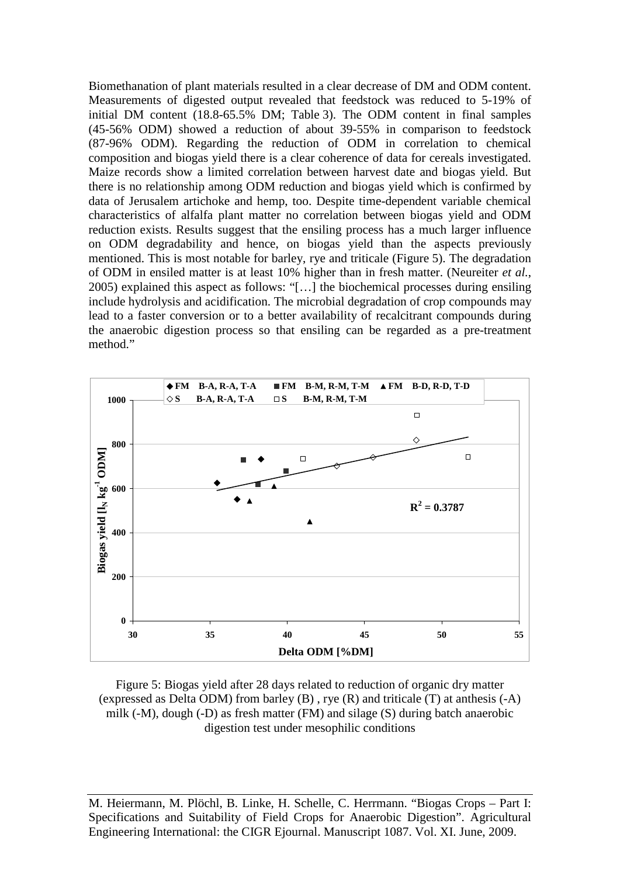Biomethanation of plant materials resulted in a clear decrease of DM and ODM content. Measurements of digested output revealed that feedstock was reduced to 5-19% of initial DM content (18.8-65.5% DM; Table 3). The ODM content in final samples (45-56% ODM) showed a reduction of about 39-55% in comparison to feedstock (87-96% ODM). Regarding the reduction of ODM in correlation to chemical composition and biogas yield there is a clear coherence of data for cereals investigated. Maize records show a limited correlation between harvest date and biogas yield. But there is no relationship among ODM reduction and biogas yield which is confirmed by data of Jerusalem artichoke and hemp, too. Despite time-dependent variable chemical characteristics of alfalfa plant matter no correlation between biogas yield and ODM reduction exists. Results suggest that the ensiling process has a much larger influence on ODM degradability and hence, on biogas yield than the aspects previously mentioned. This is most notable for barley, rye and triticale (Figure 5). The degradation of ODM in ensiled matter is at least 10% higher than in fresh matter. (Neureiter *et al.*, 2005) explained this aspect as follows: "[…] the biochemical processes during ensiling include hydrolysis and acidification. The microbial degradation of crop compounds may lead to a faster conversion or to a better availability of recalcitrant compounds during the anaerobic digestion process so that ensiling can be regarded as a pre-treatment method."



Figure 5: Biogas yield after 28 days related to reduction of organic dry matter (expressed as Delta ODM) from barley (B) , rye (R) and triticale (T) at anthesis (-A) milk (-M), dough (-D) as fresh matter (FM) and silage (S) during batch anaerobic digestion test under mesophilic conditions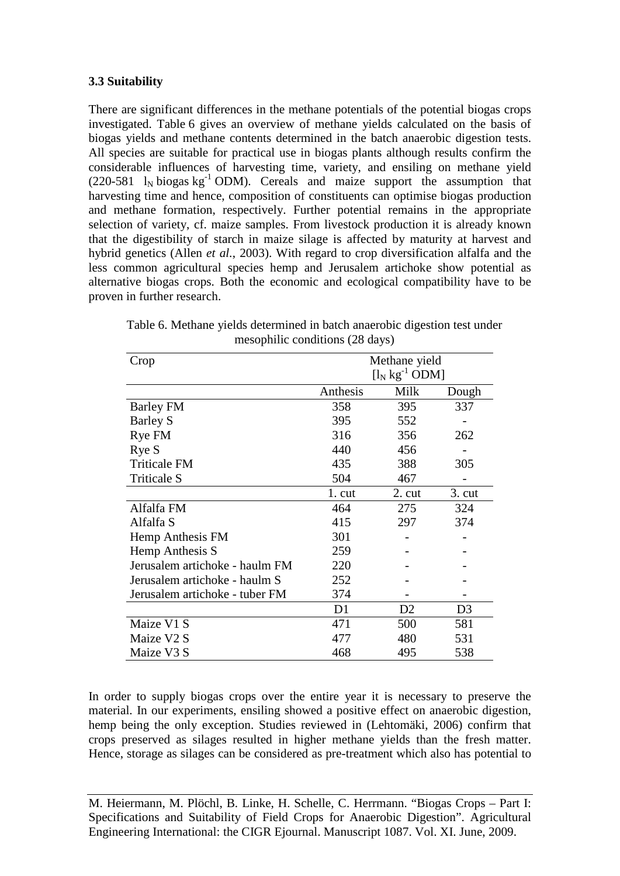### **3.3 Suitability**

There are significant differences in the methane potentials of the potential biogas crops investigated. Table 6 gives an overview of methane yields calculated on the basis of biogas yields and methane contents determined in the batch anaerobic digestion tests. All species are suitable for practical use in biogas plants although results confirm the considerable influences of harvesting time, variety, and ensiling on methane yield (220-581  $I_N$  biogas kg<sup>-1</sup> ODM). Cereals and maize support the assumption that harvesting time and hence, composition of constituents can optimise biogas production and methane formation, respectively. Further potential remains in the appropriate selection of variety, cf. maize samples. From livestock production it is already known that the digestibility of starch in maize silage is affected by maturity at harvest and hybrid genetics (Allen *et al.*, 2003). With regard to crop diversification alfalfa and the less common agricultural species hemp and Jerusalem artichoke show potential as alternative biogas crops. Both the economic and ecological compatibility have to be proven in further research.

| Crop                           | Methane yield |                     |                 |  |  |
|--------------------------------|---------------|---------------------|-----------------|--|--|
|                                |               | $[l_N kg^{-1} ODM]$ |                 |  |  |
|                                | Anthesis      | Milk                | Dough           |  |  |
| <b>Barley FM</b>               | 358           | 395                 | 337             |  |  |
| <b>Barley S</b>                | 395           | 552                 |                 |  |  |
| Rye FM                         | 316           | 356                 | 262             |  |  |
| Rye S                          | 440           | 456                 |                 |  |  |
| <b>Triticale FM</b>            | 435           | 388                 | 305             |  |  |
| <b>Triticale S</b>             | 504           | 467                 |                 |  |  |
|                                | $1$ . cut     | $2. \text{cut}$     | $3. \text{cut}$ |  |  |
| Alfalfa FM                     | 464           | 275                 | 324             |  |  |
| Alfalfa S                      | 415           | 297                 | 374             |  |  |
| Hemp Anthesis FM               | 301           |                     |                 |  |  |
| Hemp Anthesis S                | 259           |                     |                 |  |  |
| Jerusalem artichoke - haulm FM | 220           |                     |                 |  |  |
| Jerusalem artichoke - haulm S  | 252           |                     |                 |  |  |
| Jerusalem artichoke - tuber FM | 374           |                     |                 |  |  |
|                                | D1            | D2                  | D <sub>3</sub>  |  |  |
| Maize V1 S                     | 471           | 500                 | 581             |  |  |
| Maize V2 S                     | 477           | 480                 | 531             |  |  |
| Maize V3 S                     | 468           | 495                 | 538             |  |  |

Table 6. Methane yields determined in batch anaerobic digestion test under mesophilic conditions (28 days)

In order to supply biogas crops over the entire year it is necessary to preserve the material. In our experiments, ensiling showed a positive effect on anaerobic digestion, hemp being the only exception. Studies reviewed in (Lehtomäki, 2006) confirm that crops preserved as silages resulted in higher methane yields than the fresh matter. Hence, storage as silages can be considered as pre-treatment which also has potential to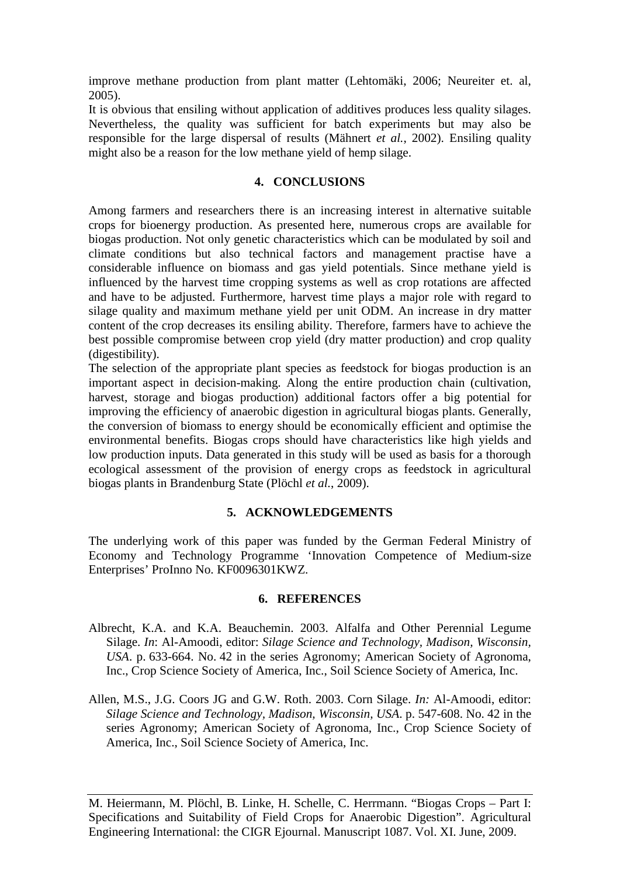improve methane production from plant matter (Lehtomäki, 2006; Neureiter et. al, 2005).

It is obvious that ensiling without application of additives produces less quality silages. Nevertheless, the quality was sufficient for batch experiments but may also be responsible for the large dispersal of results (Mähnert *et al.*, 2002). Ensiling quality might also be a reason for the low methane yield of hemp silage.

### **4. CONCLUSIONS**

Among farmers and researchers there is an increasing interest in alternative suitable crops for bioenergy production. As presented here, numerous crops are available for biogas production. Not only genetic characteristics which can be modulated by soil and climate conditions but also technical factors and management practise have a considerable influence on biomass and gas yield potentials. Since methane yield is influenced by the harvest time cropping systems as well as crop rotations are affected and have to be adjusted. Furthermore, harvest time plays a major role with regard to silage quality and maximum methane yield per unit ODM. An increase in dry matter content of the crop decreases its ensiling ability. Therefore, farmers have to achieve the best possible compromise between crop yield (dry matter production) and crop quality (digestibility).

The selection of the appropriate plant species as feedstock for biogas production is an important aspect in decision-making. Along the entire production chain (cultivation, harvest, storage and biogas production) additional factors offer a big potential for improving the efficiency of anaerobic digestion in agricultural biogas plants. Generally, the conversion of biomass to energy should be economically efficient and optimise the environmental benefits. Biogas crops should have characteristics like high yields and low production inputs. Data generated in this study will be used as basis for a thorough ecological assessment of the provision of energy crops as feedstock in agricultural biogas plants in Brandenburg State (Plöchl *et al.*, 2009).

## **5. ACKNOWLEDGEMENTS**

The underlying work of this paper was funded by the German Federal Ministry of Economy and Technology Programme 'Innovation Competence of Medium-size Enterprises' ProInno No. KF0096301KWZ.

### **6. REFERENCES**

- Albrecht, K.A. and K.A. Beauchemin. 2003. Alfalfa and Other Perennial Legume Silage. *In*: Al-Amoodi, editor: *Silage Science and Technology, Madison, Wisconsin, USA*. p. 633-664. No. 42 in the series Agronomy; American Society of Agronoma, Inc., Crop Science Society of America, Inc., Soil Science Society of America, Inc.
- Allen, M.S., J.G. Coors JG and G.W. Roth. 2003. Corn Silage. *In:* Al-Amoodi, editor: *Silage Science and Technology, Madison, Wisconsin, USA*. p. 547-608. No. 42 in the series Agronomy; American Society of Agronoma, Inc., Crop Science Society of America, Inc., Soil Science Society of America, Inc.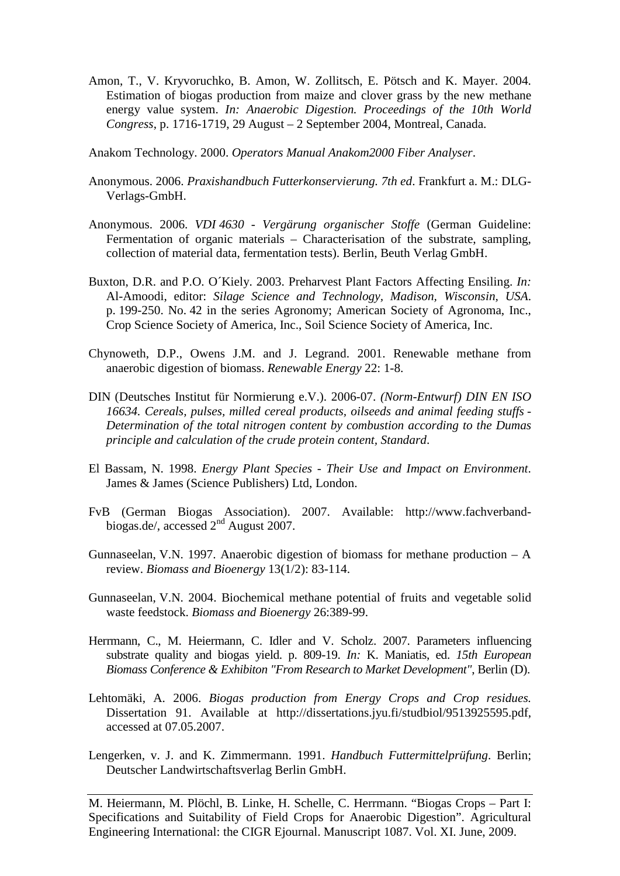Amon, T., V. Kryvoruchko, B. Amon, W. Zollitsch, E. Pötsch and K. Mayer. 2004. Estimation of biogas production from maize and clover grass by the new methane energy value system. *In: Anaerobic Digestion. Proceedings of the 10th World Congress*, p. 1716-1719, 29 August – 2 September 2004, Montreal, Canada.

Anakom Technology. 2000. *Operators Manual Anakom2000 Fiber Analyser*.

- Anonymous. 2006. *Praxishandbuch Futterkonservierung. 7th ed*. Frankfurt a. M.: DLG-Verlags-GmbH.
- Anonymous. 2006. *VDI 4630 - Vergärung organischer Stoffe* (German Guideline: Fermentation of organic materials – Characterisation of the substrate, sampling, collection of material data, fermentation tests). Berlin, Beuth Verlag GmbH.
- Buxton, D.R. and P.O. O´Kiely. 2003. Preharvest Plant Factors Affecting Ensiling. *In:* Al-Amoodi, editor: *Silage Science and Technology, Madison, Wisconsin, USA*. p. 199-250. No. 42 in the series Agronomy; American Society of Agronoma, Inc., Crop Science Society of America, Inc., Soil Science Society of America, Inc.
- Chynoweth, D.P., Owens J.M. and J. Legrand. 2001. Renewable methane from anaerobic digestion of biomass. *Renewable Energy* 22: 1-8.
- DIN (Deutsches Institut für Normierung e.V.). 2006-07. *(Norm-Entwurf) DIN EN ISO 16634. Cereals, pulses, milled cereal products, oilseeds and animal feeding stuffs - Determination of the total nitrogen content by combustion according to the Dumas principle and calculation of the crude protein content, Standard*.
- El Bassam, N. 1998. *Energy Plant Species - Their Use and Impact on Environment*. James & James (Science Publishers) Ltd, London.
- FvB (German Biogas Association). 2007. Available: http://www.fachverbandbiogas.de/, accessed 2<sup>nd</sup> August 2007.
- Gunnaseelan, V.N. 1997. Anaerobic digestion of biomass for methane production A review. *Biomass and Bioenergy* 13(1/2): 83-114.
- Gunnaseelan, V.N. 2004. Biochemical methane potential of fruits and vegetable solid waste feedstock. *Biomass and Bioenergy* 26:389-99.
- Herrmann, C., M. Heiermann, C. Idler and V. Scholz. 2007. Parameters influencing substrate quality and biogas yield. p. 809-19. *In:* K. Maniatis, ed. *15th European Biomass Conference & Exhibiton "From Research to Market Development"*, Berlin (D).
- Lehtomäki, A. 2006. *Biogas production from Energy Crops and Crop residues.* Dissertation 91. Available at http://dissertations.jyu.fi/studbiol/9513925595.pdf, accessed at 07.05.2007.
- Lengerken, v. J. and K. Zimmermann. 1991. *Handbuch Futtermittelprüfung*. Berlin; Deutscher Landwirtschaftsverlag Berlin GmbH.

M. Heiermann, M. Plöchl, B. Linke, H. Schelle, C. Herrmann. "Biogas Crops – Part I: Specifications and Suitability of Field Crops for Anaerobic Digestion". Agricultural Engineering International: the CIGR Ejournal. Manuscript 1087. Vol. XI. June, 2009.